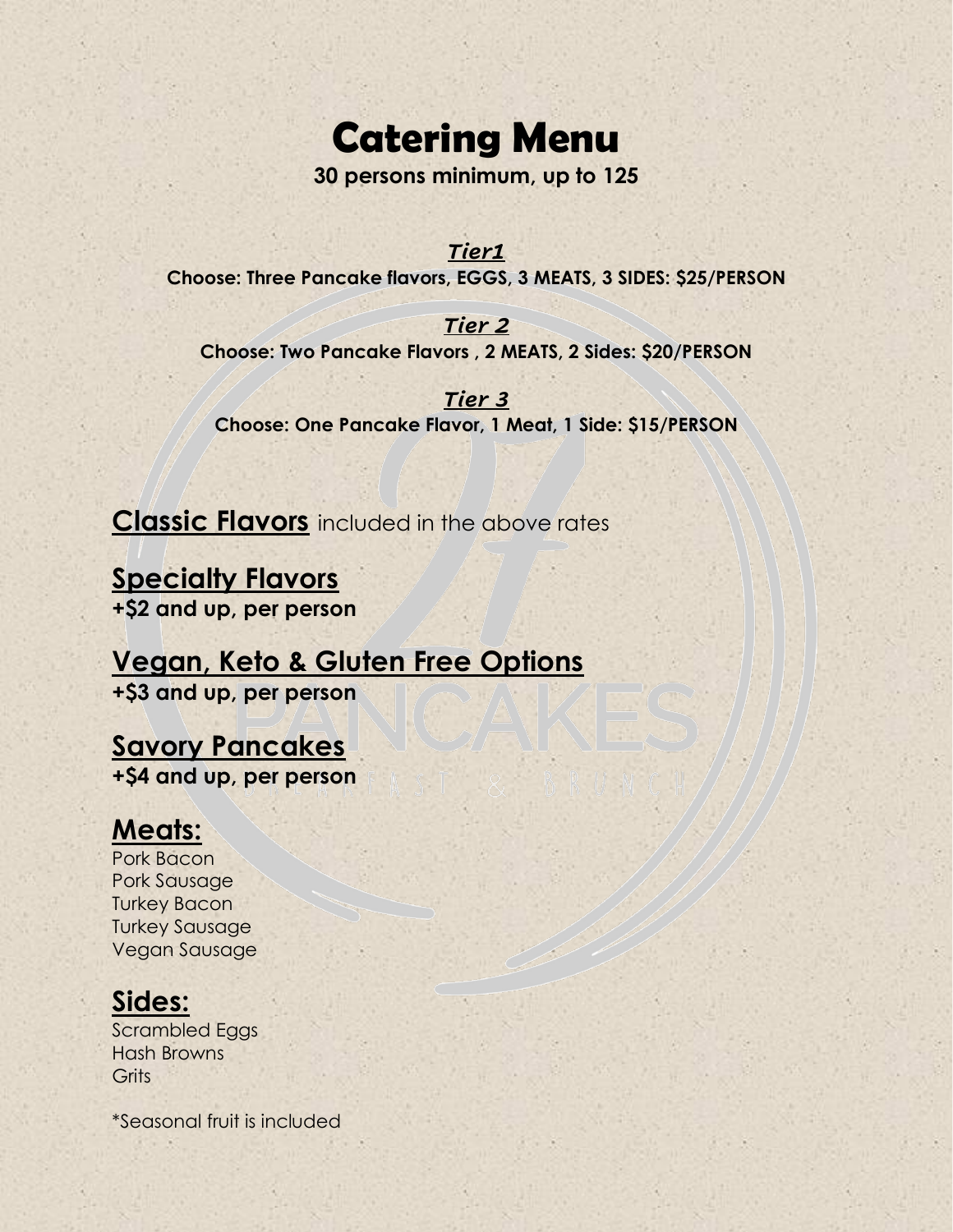# **Catering Menu**

**30 persons minimum, up to 125**

*Tier1* **Choose: Three Pancake flavors, EGGS, 3 MEATS, 3 SIDES: \$25/PERSON**

*Tier 2* **Choose: Two Pancake Flavors , 2 MEATS, 2 Sides: \$20/PERSON**

*Tier 3* **Choose: One Pancake Flavor, 1 Meat, 1 Side: \$15/PERSON**

**Classic Flavors** included in the above rates

**Specialty Flavors +\$2 and up, per person**

**Vegan, Keto & Gluten Free Options +\$3 and up, per person**

### **Savory Pancakes**

**+\$4 and up, per person**

## **Meats:**

Pork Bacon Pork Sausage Turkey Bacon Turkey Sausage Vegan Sausage

## **Sides:**

Scrambled Eggs Hash Browns **Grits** 

\*Seasonal fruit is included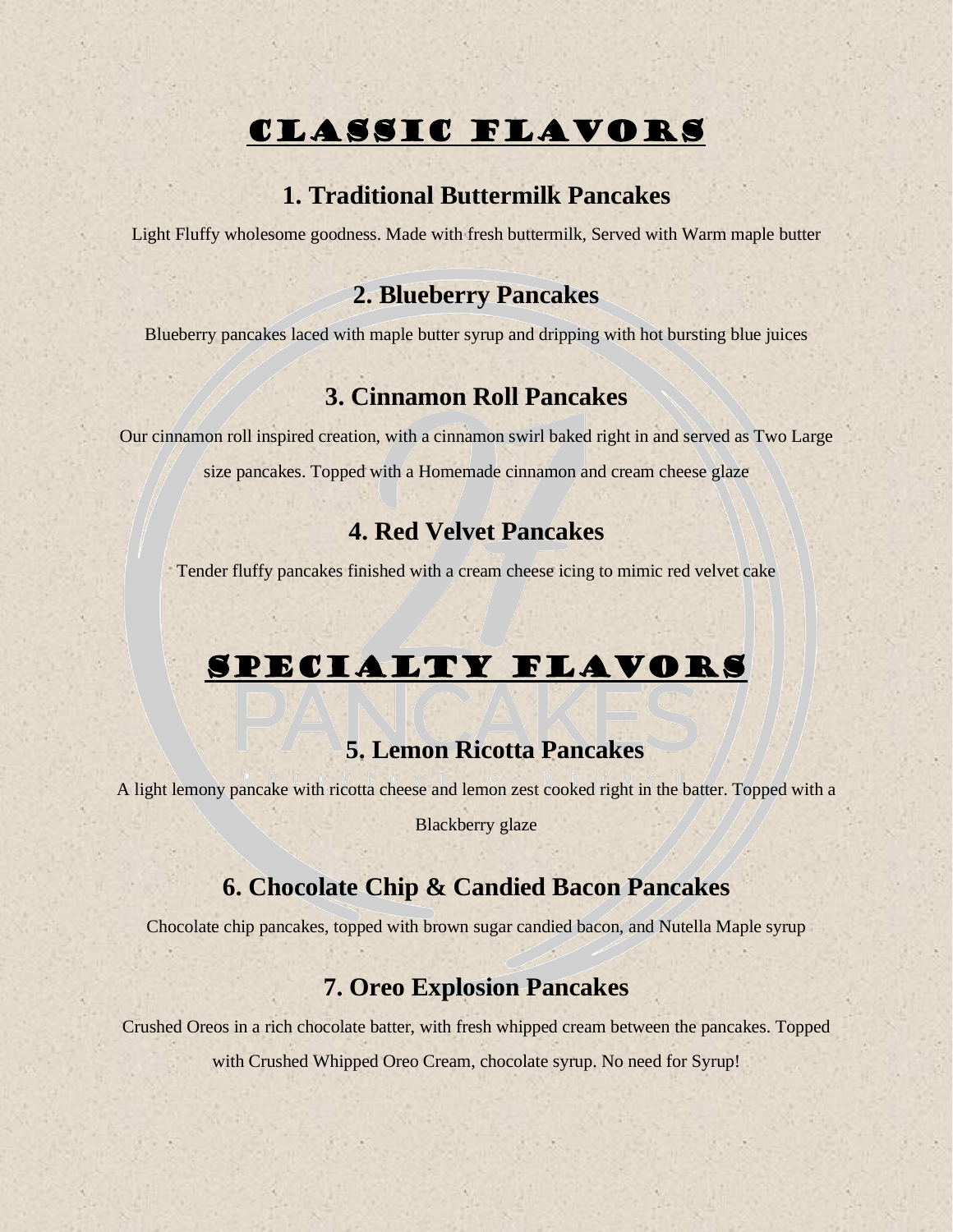# Classic Flavors

#### **1. Traditional Buttermilk Pancakes**

Light Fluffy wholesome goodness. Made with fresh buttermilk, Served with Warm maple butter

#### **2. Blueberry Pancakes**

Blueberry pancakes laced with maple butter syrup and dripping with hot bursting blue juices

### **3. Cinnamon Roll Pancakes**

Our cinnamon roll inspired creation, with a cinnamon swirl baked right in and served as Two Large size pancakes. Topped with a Homemade cinnamon and cream cheese glaze

#### **4. Red Velvet Pancakes**

Tender fluffy pancakes finished with a cream cheese icing to mimic red velvet cake

## Specialty Flavors

#### **5. Lemon Ricotta Pancakes**

A light lemony pancake with ricotta cheese and lemon zest cooked right in the batter. Topped with a

Blackberry glaze

#### **6. Chocolate Chip & Candied Bacon Pancakes**

Chocolate chip pancakes, topped with brown sugar candied bacon, and Nutella Maple syrup

#### **7. Oreo Explosion Pancakes**

Crushed Oreos in a rich chocolate batter, with fresh whipped cream between the pancakes. Topped with Crushed Whipped Oreo Cream, chocolate syrup. No need for Syrup!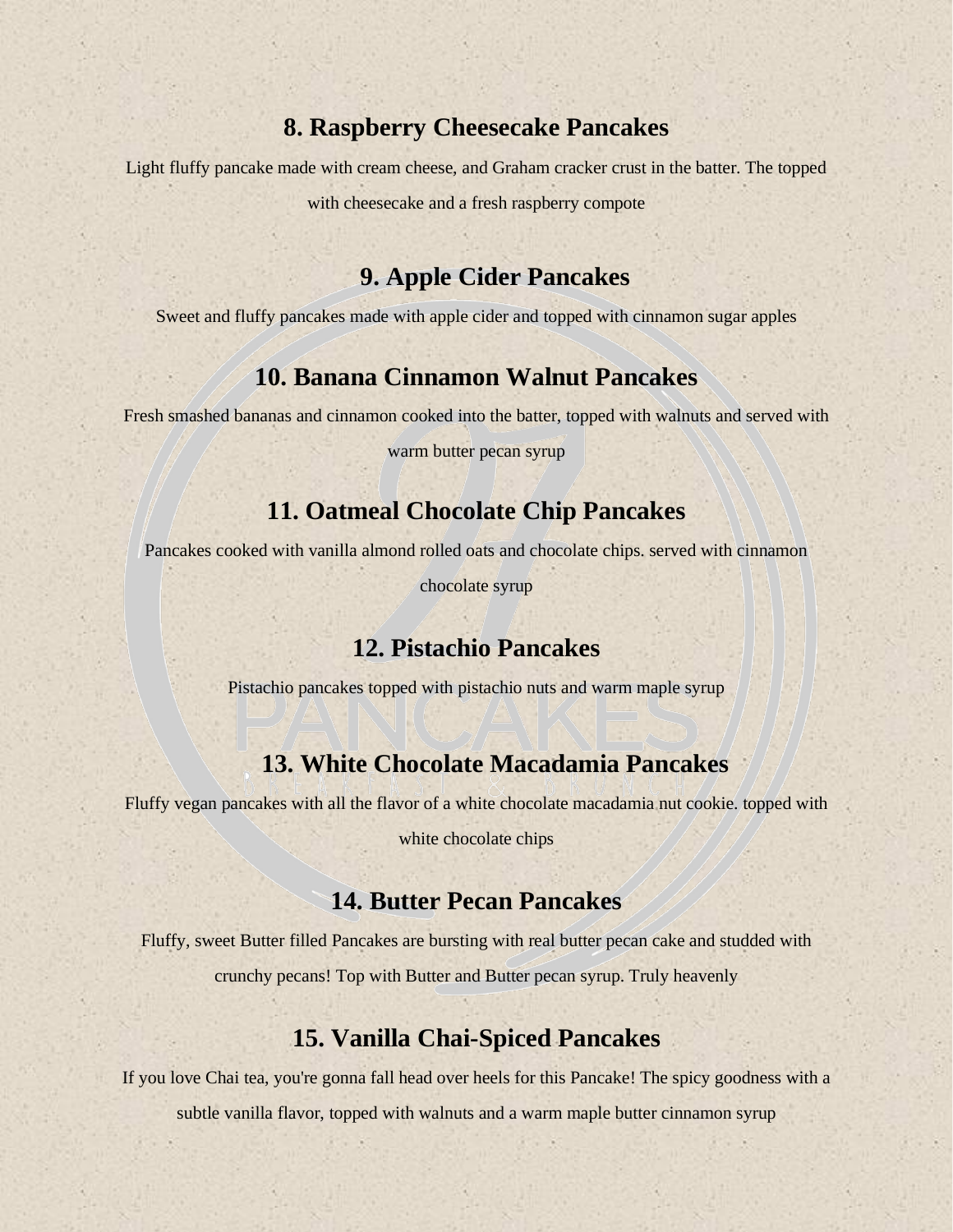#### **8. Raspberry Cheesecake Pancakes**

Light fluffy pancake made with cream cheese, and Graham cracker crust in the batter. The topped with cheesecake and a fresh raspberry compote

#### **9. Apple Cider Pancakes**

Sweet and fluffy pancakes made with apple cider and topped with cinnamon sugar apples

#### **10. Banana Cinnamon Walnut Pancakes**

Fresh smashed bananas and cinnamon cooked into the batter, topped with walnuts and served with

warm butter pecan syrup

#### **11. Oatmeal Chocolate Chip Pancakes**

Pancakes cooked with vanilla almond rolled oats and chocolate chips. served with cinnamon

chocolate syrup

#### **12. Pistachio Pancakes**

Pistachio pancakes topped with pistachio nuts and warm maple syrup

#### **13. White Chocolate Macadamia Pancakes**

Fluffy vegan pancakes with all the flavor of a white chocolate macadamia nut cookie. topped with

white chocolate chips

#### **14. Butter Pecan Pancakes**

Fluffy, sweet Butter filled Pancakes are bursting with real butter pecan cake and studded with crunchy pecans! Top with Butter and Butter pecan syrup. Truly heavenly

#### **15. Vanilla Chai-Spiced Pancakes**

If you love Chai tea, you're gonna fall head over heels for this Pancake! The spicy goodness with a subtle vanilla flavor, topped with walnuts and a warm maple butter cinnamon syrup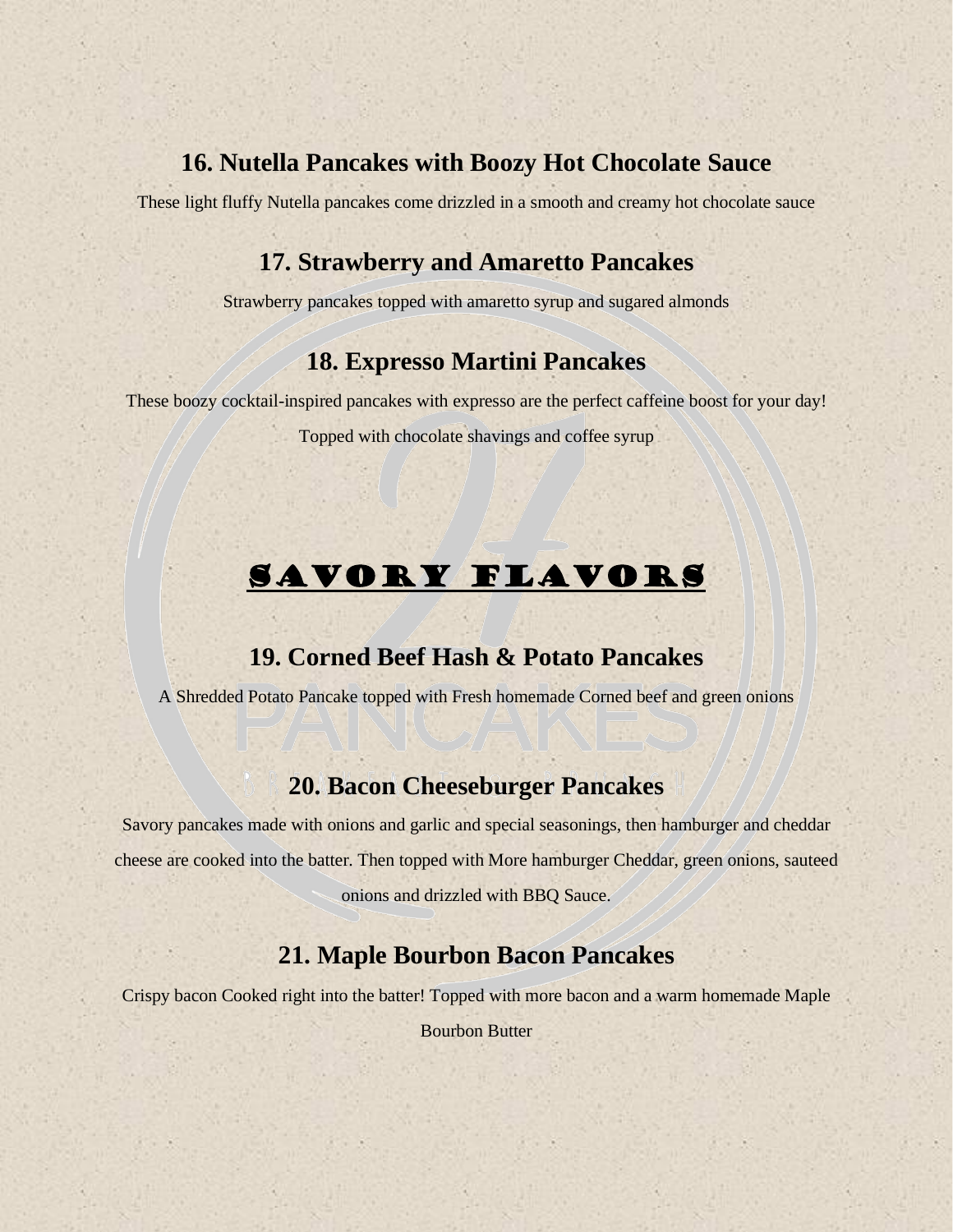#### **16. Nutella Pancakes with Boozy Hot Chocolate Sauce**

These light fluffy Nutella pancakes come drizzled in a smooth and creamy hot chocolate sauce

#### **17. Strawberry and Amaretto Pancakes**

Strawberry pancakes topped with amaretto syrup and sugared almonds

#### **18. Expresso Martini Pancakes**

These boozy cocktail-inspired pancakes with expresso are the perfect caffeine boost for your day! Topped with chocolate shavings and coffee syrup

## Savory Flavors

#### **19. Corned Beef Hash & Potato Pancakes**

A Shredded Potato Pancake topped with Fresh homemade Corned beef and green onions

#### **20. Bacon Cheeseburger Pancakes**

Savory pancakes made with onions and garlic and special seasonings, then hamburger and cheddar cheese are cooked into the batter. Then topped with More hamburger Cheddar, green onions, sauteed onions and drizzled with BBQ Sauce.

#### **21. Maple Bourbon Bacon Pancakes**

Crispy bacon Cooked right into the batter! Topped with more bacon and a warm homemade Maple Bourbon Butter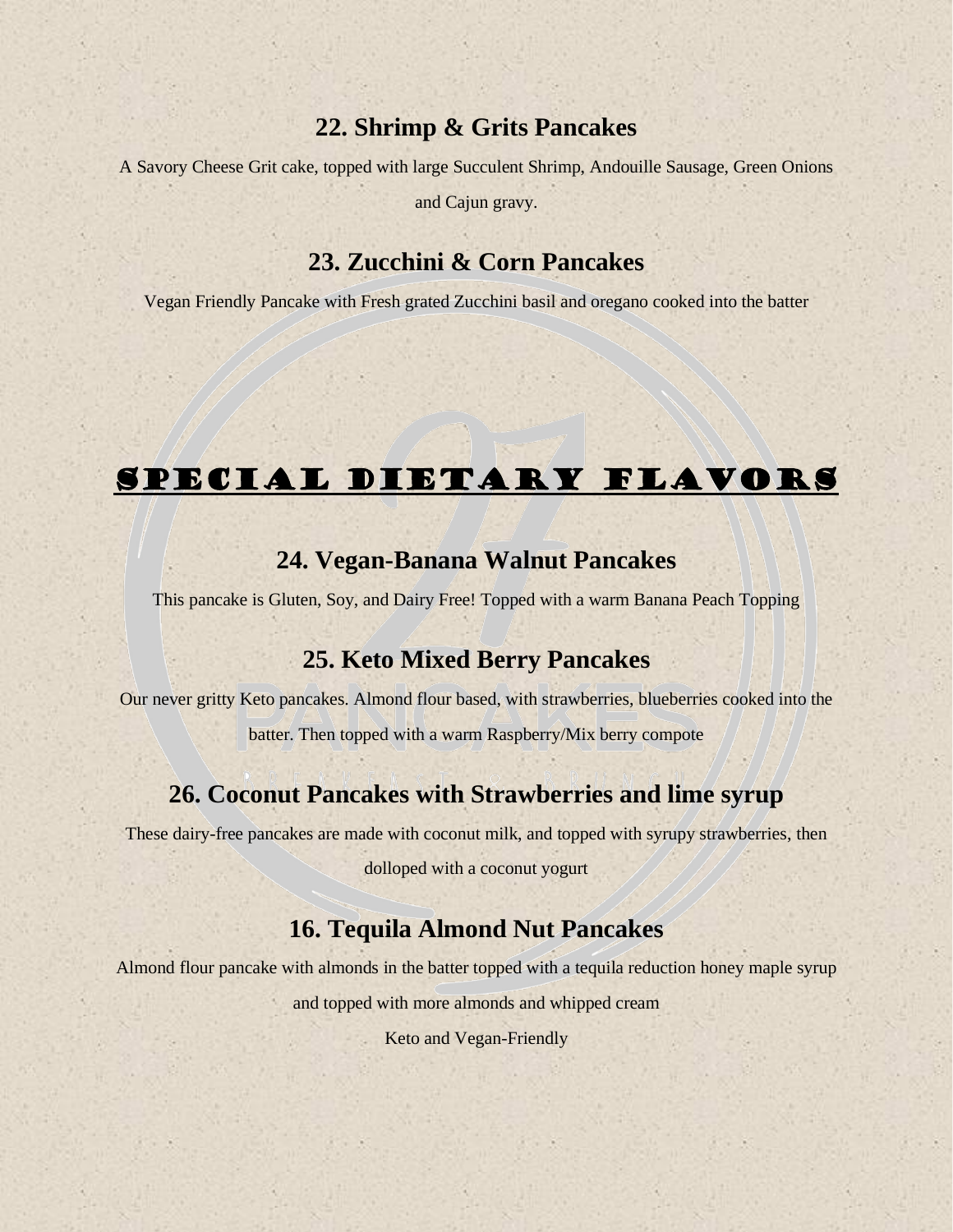#### **22. Shrimp & Grits Pancakes**

A Savory Cheese Grit cake, topped with large Succulent Shrimp, Andouille Sausage, Green Onions

and Cajun gravy.

#### **23. Zucchini & Corn Pancakes**

Vegan Friendly Pancake with Fresh grated Zucchini basil and oregano cooked into the batter

## Special Dietary Flavors

#### **24. Vegan-Banana Walnut Pancakes**

This pancake is Gluten, Soy, and Dairy Free! Topped with a warm Banana Peach Topping

#### **25. Keto Mixed Berry Pancakes**

Our never gritty Keto pancakes. Almond flour based, with strawberries, blueberries cooked into the

batter. Then topped with a warm Raspberry/Mix berry compote

#### **26. Coconut Pancakes with Strawberries and lime syrup**

These dairy-free pancakes are made with coconut milk, and topped with syrupy strawberries, then dolloped with a coconut yogurt

#### **16. Tequila Almond Nut Pancakes**

Almond flour pancake with almonds in the batter topped with a tequila reduction honey maple syrup and topped with more almonds and whipped cream

Keto and Vegan-Friendly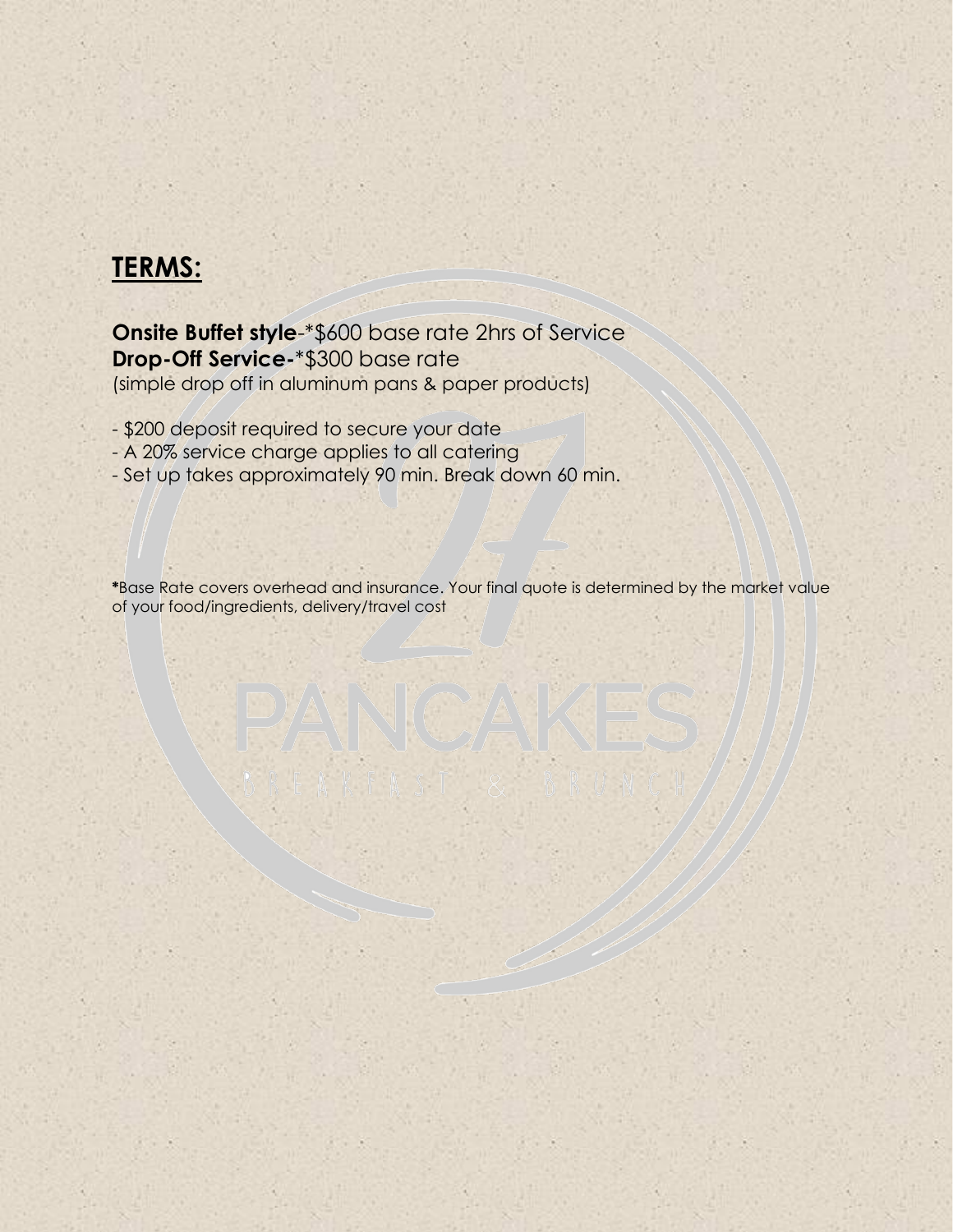## **TERMS:**

**Onsite Buffet style**-\*\$600 base rate 2hrs of Service **Drop-Off Service-**\*\$300 base rate (simple drop off in aluminum pans & paper products)

- \$200 deposit required to secure your date
- A 20% service charge applies to all catering
- Set up takes approximately 90 min. Break down 60 min.

**\***Base Rate covers overhead and insurance. Your final quote is determined by the market value of your food/ingredients, delivery/travel cost